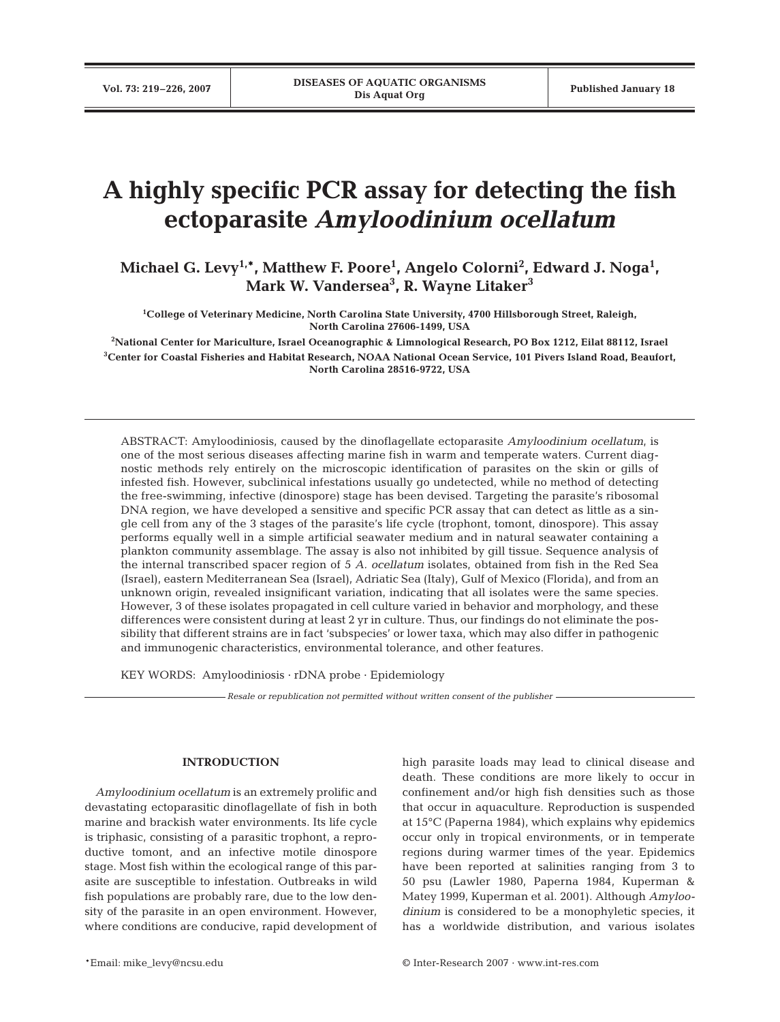# **A highly specific PCR assay for detecting the fish ectoparasite** *Amyloodinium ocellatum*

Michael G. Levy<sup>1,</sup>\*, Matthew F. Poore<sup>1</sup>, Angelo Colorni<sup>2</sup>, Edward J. Noga<sup>1</sup>, **Mark W. Vandersea3 , R. Wayne Litaker3**

**1 College of Veterinary Medicine, North Carolina State University, 4700 Hillsborough Street, Raleigh, North Carolina 27606-1499, USA**

**2 National Center for Mariculture, Israel Oceanographic & Limnological Research, PO Box 1212, Eilat 88112, Israel 3 Center for Coastal Fisheries and Habitat Research, NOAA National Ocean Service, 101 Pivers Island Road, Beaufort, North Carolina 28516-9722, USA**

ABSTRACT: Amyloodiniosis, caused by the dinoflagellate ectoparasite *Amyloodinium ocellatum*, is one of the most serious diseases affecting marine fish in warm and temperate waters. Current diagnostic methods rely entirely on the microscopic identification of parasites on the skin or gills of infested fish. However, subclinical infestations usually go undetected, while no method of detecting the free-swimming, infective (dinospore) stage has been devised. Targeting the parasite's ribosomal DNA region, we have developed a sensitive and specific PCR assay that can detect as little as a single cell from any of the 3 stages of the parasite's life cycle (trophont, tomont, dinospore). This assay performs equally well in a simple artificial seawater medium and in natural seawater containing a plankton community assemblage. The assay is also not inhibited by gill tissue. Sequence analysis of the internal transcribed spacer region of 5 *A. ocellatum* isolates, obtained from fish in the Red Sea (Israel), eastern Mediterranean Sea (Israel), Adriatic Sea (Italy), Gulf of Mexico (Florida), and from an unknown origin, revealed insignificant variation, indicating that all isolates were the same species. However, 3 of these isolates propagated in cell culture varied in behavior and morphology, and these differences were consistent during at least 2 yr in culture. Thus, our findings do not eliminate the possibility that different strains are in fact 'subspecies' or lower taxa, which may also differ in pathogenic and immunogenic characteristics, environmental tolerance, and other features.

KEY WORDS: Amyloodiniosis · rDNA probe · Epidemiology

*Resale or republication not permitted without written consent of the publisher*

# **INTRODUCTION**

*Amyloodinium ocellatum* is an extremely prolific and devastating ectoparasitic dinoflagellate of fish in both marine and brackish water environments. Its life cycle is triphasic, consisting of a parasitic trophont, a reproductive tomont, and an infective motile dinospore stage. Most fish within the ecological range of this parasite are susceptible to infestation. Outbreaks in wild fish populations are probably rare, due to the low density of the parasite in an open environment. However, where conditions are conducive, rapid development of

high parasite loads may lead to clinical disease and death. These conditions are more likely to occur in confinement and/or high fish densities such as those that occur in aquaculture. Reproduction is suspended at 15°C (Paperna 1984), which explains why epidemics occur only in tropical environments, or in temperate regions during warmer times of the year. Epidemics have been reported at salinities ranging from 3 to 50 psu (Lawler 1980, Paperna 1984, Kuperman & Matey 1999, Kuperman et al. 2001). Although *Amyloodinium* is considered to be a monophyletic species, it has a worldwide distribution, and various isolates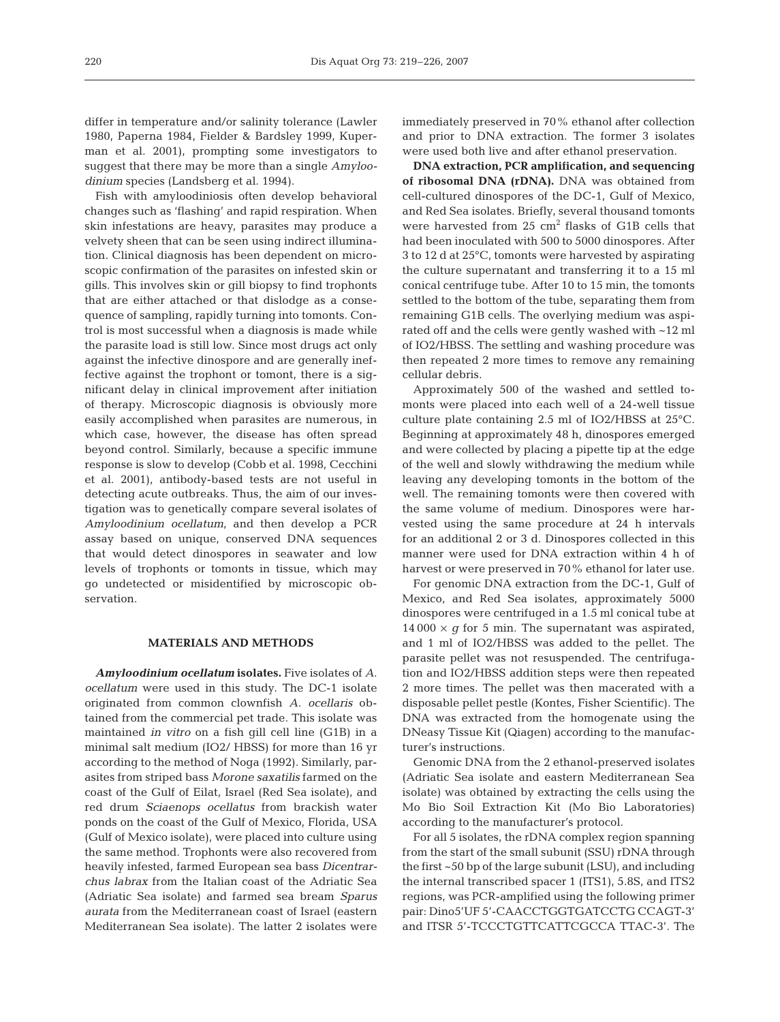differ in temperature and/or salinity tolerance (Lawler 1980, Paperna 1984, Fielder & Bardsley 1999, Kuperman et al. 2001), prompting some investigators to suggest that there may be more than a single *Amyloodinium* species (Landsberg et al. 1994).

Fish with amyloodiniosis often develop behavioral changes such as 'flashing' and rapid respiration. When skin infestations are heavy, parasites may produce a velvety sheen that can be seen using indirect illumination. Clinical diagnosis has been dependent on microscopic confirmation of the parasites on infested skin or gills. This involves skin or gill biopsy to find trophonts that are either attached or that dislodge as a consequence of sampling, rapidly turning into tomonts. Control is most successful when a diagnosis is made while the parasite load is still low. Since most drugs act only against the infective dinospore and are generally ineffective against the trophont or tomont, there is a significant delay in clinical improvement after initiation of therapy. Microscopic diagnosis is obviously more easily accomplished when parasites are numerous, in which case, however, the disease has often spread beyond control. Similarly, because a specific immune response is slow to develop (Cobb et al. 1998, Cecchini et al. 2001), antibody-based tests are not useful in detecting acute outbreaks. Thus, the aim of our investigation was to genetically compare several isolates of *Amyloodinium ocellatum*, and then develop a PCR assay based on unique, conserved DNA sequences that would detect dinospores in seawater and low levels of trophonts or tomonts in tissue, which may go undetected or misidentified by microscopic observation.

## **MATERIALS AND METHODS**

*Amyloodinium ocellatum* **isolates.** Five isolates of *A. ocellatum* were used in this study. The DC-1 isolate originated from common clownfish *A. ocellaris* obtained from the commercial pet trade. This isolate was maintained *in vitro* on a fish gill cell line (G1B) in a minimal salt medium (IO2/ HBSS) for more than 16 yr according to the method of Noga (1992). Similarly, parasites from striped bass *Morone saxatilis* farmed on the coast of the Gulf of Eilat, Israel (Red Sea isolate), and red drum *Sciaenops ocellatus* from brackish water ponds on the coast of the Gulf of Mexico, Florida, USA (Gulf of Mexico isolate), were placed into culture using the same method. Trophonts were also recovered from heavily infested, farmed European sea bass *Dicentrarchus labrax* from the Italian coast of the Adriatic Sea (Adriatic Sea isolate) and farmed sea bream *Sparus aurata* from the Mediterranean coast of Israel (eastern Mediterranean Sea isolate). The latter 2 isolates were

immediately preserved in 70% ethanol after collection and prior to DNA extraction. The former 3 isolates were used both live and after ethanol preservation.

**DNA extraction, PCR amplification, and sequencing of ribosomal DNA (rDNA).** DNA was obtained from cell-cultured dinospores of the DC-1, Gulf of Mexico, and Red Sea isolates. Briefly, several thousand tomonts were harvested from  $25 \text{ cm}^2$  flasks of G1B cells that had been inoculated with 500 to 5000 dinospores. After 3 to 12 d at 25°C, tomonts were harvested by aspirating the culture supernatant and transferring it to a 15 ml conical centrifuge tube. After 10 to 15 min, the tomonts settled to the bottom of the tube, separating them from remaining G1B cells. The overlying medium was aspirated off and the cells were gently washed with ~12 ml of IO2/HBSS. The settling and washing procedure was then repeated 2 more times to remove any remaining cellular debris.

Approximately 500 of the washed and settled tomonts were placed into each well of a 24-well tissue culture plate containing 2.5 ml of IO2/HBSS at 25°C. Beginning at approximately 48 h, dinospores emerged and were collected by placing a pipette tip at the edge of the well and slowly withdrawing the medium while leaving any developing tomonts in the bottom of the well. The remaining tomonts were then covered with the same volume of medium. Dinospores were harvested using the same procedure at 24 h intervals for an additional 2 or 3 d. Dinospores collected in this manner were used for DNA extraction within 4 h of harvest or were preserved in 70% ethanol for later use.

For genomic DNA extraction from the DC-1, Gulf of Mexico, and Red Sea isolates, approximately 5000 dinospores were centrifuged in a 1.5 ml conical tube at 14 000  $\times$  *g* for 5 min. The supernatant was aspirated, and 1 ml of IO2/HBSS was added to the pellet. The parasite pellet was not resuspended. The centrifugation and IO2/HBSS addition steps were then repeated 2 more times. The pellet was then macerated with a disposable pellet pestle (Kontes, Fisher Scientific). The DNA was extracted from the homogenate using the DNeasy Tissue Kit (Qiagen) according to the manufacturer's instructions.

Genomic DNA from the 2 ethanol-preserved isolates (Adriatic Sea isolate and eastern Mediterranean Sea isolate) was obtained by extracting the cells using the Mo Bio Soil Extraction Kit (Mo Bio Laboratories) according to the manufacturer's protocol.

For all 5 isolates, the rDNA complex region spanning from the start of the small subunit (SSU) rDNA through the first ~50 bp of the large subunit (LSU), and including the internal transcribed spacer 1 (ITS1), 5.8S, and ITS2 regions, was PCR-amplified using the following primer pair: Dino5'UF 5'-CAACCTGGTGATCCTG CCAGT-3' and ITSR 5'-TCCCTGTTCATTCGCCA TTAC-3'. The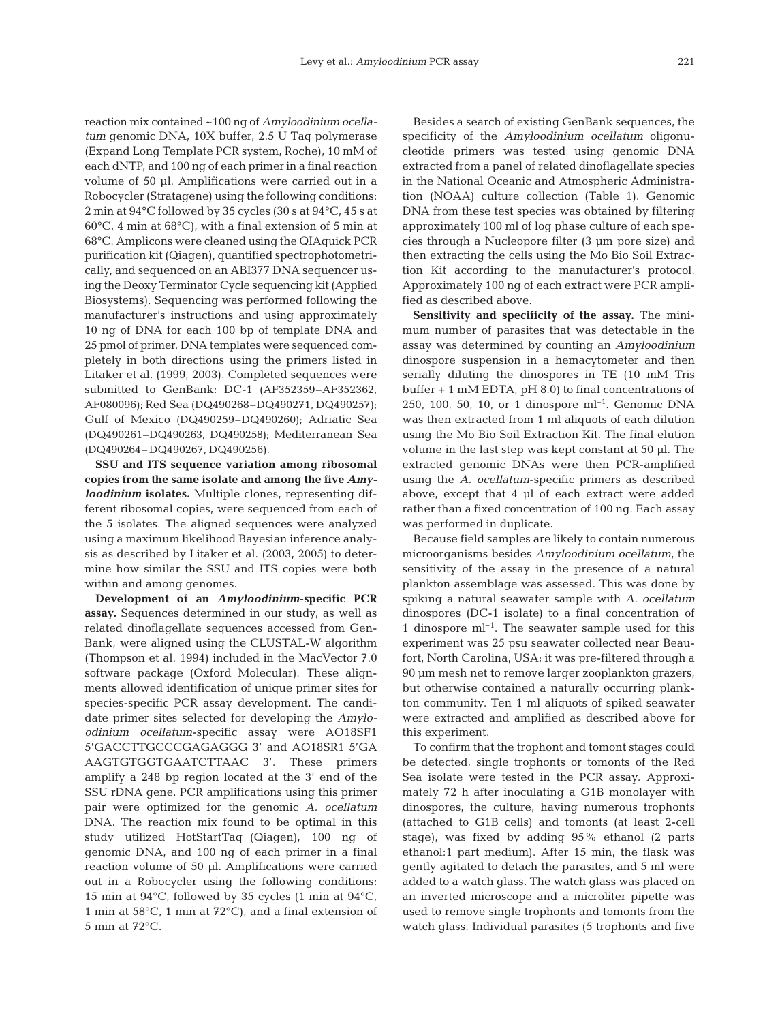reaction mix contained ~100 ng of *Amyloodinium ocellatum* genomic DNA, 10X buffer, 2.5 U Taq polymerase (Expand Long Template PCR system, Roche), 10 mM of each dNTP, and 100 ng of each primer in a final reaction volume of 50 µl. Amplifications were carried out in a Robocycler (Stratagene) using the following conditions: 2 min at 94°C followed by 35 cycles (30 s at 94°C, 45 s at 60°C, 4 min at 68°C), with a final extension of 5 min at 68°C. Amplicons were cleaned using the QIAquick PCR purification kit (Qiagen), quantified spectrophotometrically, and sequenced on an ABI377 DNA sequencer using the Deoxy Terminator Cycle sequencing kit (Applied Biosystems). Sequencing was performed following the manufacturer's instructions and using approximately 10 ng of DNA for each 100 bp of template DNA and 25 pmol of primer. DNA templates were sequenced completely in both directions using the primers listed in Litaker et al. (1999, 2003). Completed sequences were submitted to GenBank: DC-1 (AF352359–AF352362, AF080096); Red Sea (DQ490268–DQ490271, DQ490257); Gulf of Mexico (DQ490259–DQ490260); Adriatic Sea (DQ490261–DQ490263, DQ490258); Mediterranean Sea (DQ490264– DQ490267, DQ490256).

**SSU and ITS sequence variation among ribosomal copies from the same isolate and among the five** *Amyloodinium* **isolates.** Multiple clones, representing different ribosomal copies, were sequenced from each of the 5 isolates. The aligned sequences were analyzed using a maximum likelihood Bayesian inference analysis as described by Litaker et al. (2003, 2005) to determine how similar the SSU and ITS copies were both within and among genomes.

**Development of an** *Amyloodinium***-specific PCR assay.** Sequences determined in our study, as well as related dinoflagellate sequences accessed from Gen-Bank, were aligned using the CLUSTAL-W algorithm (Thompson et al. 1994) included in the MacVector 7.0 software package (Oxford Molecular). These alignments allowed identification of unique primer sites for species-specific PCR assay development. The candidate primer sites selected for developing the *Amyloodinium ocellatum*-specific assay were AO18SF1 5'GACCTTGCCCGAGAGGG 3' and AO18SR1 5'GA AAGTGTGGTGAATCTTAAC 3'. These primers amplify a 248 bp region located at the 3' end of the SSU rDNA gene. PCR amplifications using this primer pair were optimized for the genomic *A. ocellatum* DNA. The reaction mix found to be optimal in this study utilized HotStartTaq (Qiagen), 100 ng of genomic DNA, and 100 ng of each primer in a final reaction volume of 50 µl. Amplifications were carried out in a Robocycler using the following conditions: 15 min at 94°C, followed by 35 cycles (1 min at 94°C, 1 min at 58°C, 1 min at 72°C), and a final extension of 5 min at 72°C.

Besides a search of existing GenBank sequences, the specificity of the *Amyloodinium ocellatum* oligonucleotide primers was tested using genomic DNA extracted from a panel of related dinoflagellate species in the National Oceanic and Atmospheric Administration (NOAA) culture collection (Table 1). Genomic DNA from these test species was obtained by filtering approximately 100 ml of log phase culture of each species through a Nucleopore filter (3 µm pore size) and then extracting the cells using the Mo Bio Soil Extraction Kit according to the manufacturer's protocol. Approximately 100 ng of each extract were PCR amplified as described above.

**Sensitivity and specificity of the assay.** The minimum number of parasites that was detectable in the assay was determined by counting an *Amyloodinium* dinospore suspension in a hemacytometer and then serially diluting the dinospores in TE (10 mM Tris buffer + 1 mM EDTA, pH 8.0) to final concentrations of 250, 100, 50, 10, or 1 dinospore  $ml^{-1}$ . Genomic DNA was then extracted from 1 ml aliquots of each dilution using the Mo Bio Soil Extraction Kit. The final elution volume in the last step was kept constant at 50 µl. The extracted genomic DNAs were then PCR-amplified using the *A. ocellatum*-specific primers as described above, except that 4 µl of each extract were added rather than a fixed concentration of 100 ng. Each assay was performed in duplicate.

Because field samples are likely to contain numerous microorganisms besides *Amyloodinium ocellatum*, the sensitivity of the assay in the presence of a natural plankton assemblage was assessed. This was done by spiking a natural seawater sample with *A. ocellatum* dinospores (DC-1 isolate) to a final concentration of 1 dinospore  $ml^{-1}$ . The seawater sample used for this experiment was 25 psu seawater collected near Beaufort, North Carolina, USA; it was pre-filtered through a 90 µm mesh net to remove larger zooplankton grazers, but otherwise contained a naturally occurring plankton community. Ten 1 ml aliquots of spiked seawater were extracted and amplified as described above for this experiment.

To confirm that the trophont and tomont stages could be detected, single trophonts or tomonts of the Red Sea isolate were tested in the PCR assay. Approximately 72 h after inoculating a G1B monolayer with dinospores, the culture, having numerous trophonts (attached to G1B cells) and tomonts (at least 2-cell stage), was fixed by adding 95% ethanol (2 parts ethanol:1 part medium). After 15 min, the flask was gently agitated to detach the parasites, and 5 ml were added to a watch glass. The watch glass was placed on an inverted microscope and a microliter pipette was used to remove single trophonts and tomonts from the watch glass. Individual parasites (5 trophonts and five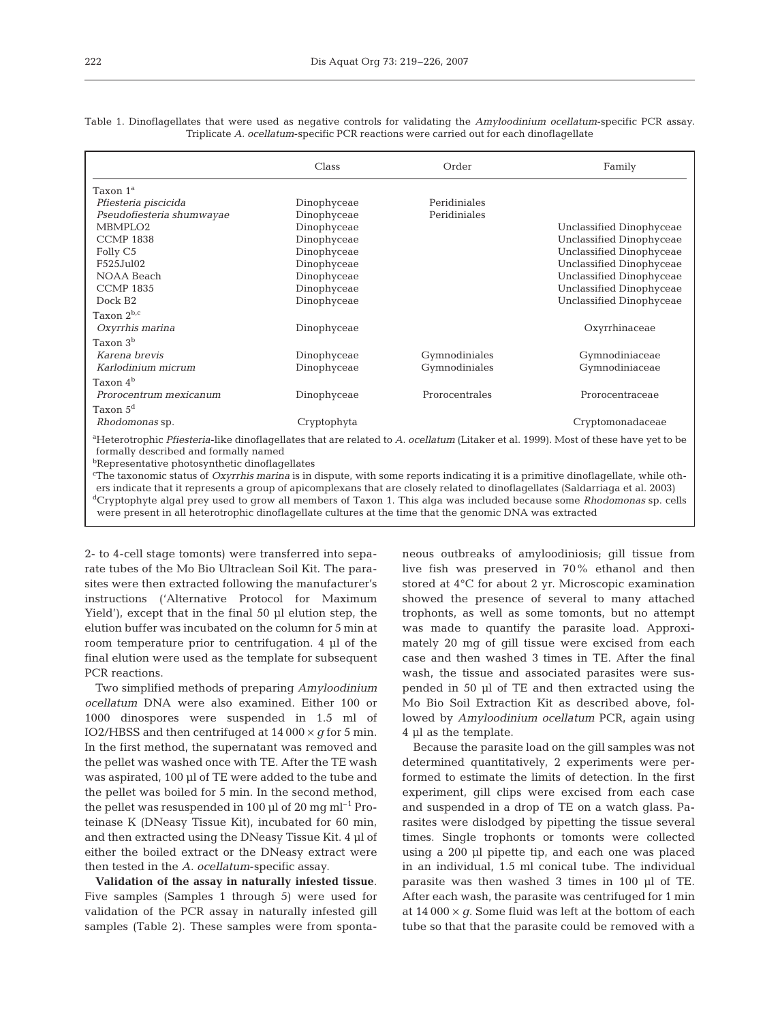Table 1. Dinoflagellates that were used as negative controls for validating the *Amyloodinium ocellatum*-specific PCR assay. Triplicate *A. ocellatum*-specific PCR reactions were carried out for each dinoflagellate

|                                                                                                                                                 | Class       | Order          | Family                          |  |  |
|-------------------------------------------------------------------------------------------------------------------------------------------------|-------------|----------------|---------------------------------|--|--|
| Taxon 1 <sup>a</sup>                                                                                                                            |             |                |                                 |  |  |
| Pfiesteria piscicida                                                                                                                            | Dinophyceae | Peridiniales   |                                 |  |  |
| Pseudofiesteria shumwayae                                                                                                                       | Dinophyceae | Peridiniales   |                                 |  |  |
| MBMPLO <sub>2</sub>                                                                                                                             | Dinophyceae |                | Unclassified Dinophyceae        |  |  |
| <b>CCMP 1838</b>                                                                                                                                | Dinophyceae |                | Unclassified Dinophyceae        |  |  |
| Folly C5                                                                                                                                        | Dinophyceae |                | Unclassified Dinophyceae        |  |  |
| F525Jul02                                                                                                                                       | Dinophyceae |                | Unclassified Dinophyceae        |  |  |
| NOAA Beach                                                                                                                                      | Dinophyceae |                | Unclassified Dinophyceae        |  |  |
| <b>CCMP 1835</b>                                                                                                                                | Dinophyceae |                | <b>Unclassified Dinophyceae</b> |  |  |
| Dock B <sub>2</sub>                                                                                                                             | Dinophyceae |                | Unclassified Dinophyceae        |  |  |
| Taxon $2^{b,c}$                                                                                                                                 |             |                |                                 |  |  |
| Oxyrrhis marina                                                                                                                                 | Dinophyceae |                | Oxyrrhinaceae                   |  |  |
| Taxon $3b$                                                                                                                                      |             |                |                                 |  |  |
| Karena brevis                                                                                                                                   | Dinophyceae | Gymnodiniales  | Gymnodiniaceae                  |  |  |
| Karlodinium micrum                                                                                                                              | Dinophyceae | Gymnodiniales  | Gymnodiniaceae                  |  |  |
| Taxon $4b$                                                                                                                                      |             |                |                                 |  |  |
| Prorocentrum mexicanum                                                                                                                          | Dinophyceae | Prorocentrales | Prorocentraceae                 |  |  |
| Taxon $5^d$                                                                                                                                     |             |                |                                 |  |  |
| Rhodomonas sp.                                                                                                                                  | Cryptophyta |                | Cryptomonadaceae                |  |  |
| <sup>a</sup> Heterotrophic Pfiesteria-like dinoflagellates that are related to A. ocellatum (Litaker et al. 1999). Most of these have yet to be |             |                |                                 |  |  |

formally described and formally named

bRepresentative photosynthetic dinoflagellates

c The taxonomic status of *Oxyrrhis marina* is in dispute, with some reports indicating it is a primitive dinoflagellate, while others indicate that it represents a group of apicomplexans that are closely related to dinoflagellates (Saldarriaga et al. 2003) dCryptophyte algal prey used to grow all members of Taxon 1. This alga was included because some *Rhodomonas* sp. cells were present in all heterotrophic dinoflagellate cultures at the time that the genomic DNA was extracted

2- to 4-cell stage tomonts) were transferred into separate tubes of the Mo Bio Ultraclean Soil Kit. The parasites were then extracted following the manufacturer's instructions ('Alternative Protocol for Maximum Yield'), except that in the final 50 µl elution step, the elution buffer was incubated on the column for 5 min at room temperature prior to centrifugation. 4 µl of the final elution were used as the template for subsequent PCR reactions.

Two simplified methods of preparing *Amyloodinium ocellatum* DNA were also examined. Either 100 or 1000 dinospores were suspended in 1.5 ml of IO2/HBSS and then centrifuged at  $14000 \times q$  for 5 min. In the first method, the supernatant was removed and the pellet was washed once with TE. After the TE wash was aspirated, 100 µl of TE were added to the tube and the pellet was boiled for 5 min. In the second method, the pellet was resuspended in 100  $\mu$ l of 20 mg ml<sup>-1</sup> Proteinase K (DNeasy Tissue Kit), incubated for 60 min, and then extracted using the DNeasy Tissue Kit. 4 µl of either the boiled extract or the DNeasy extract were then tested in the *A. ocellatum*-specific assay.

**Validation of the assay in naturally infested tissue**. Five samples (Samples 1 through 5) were used for validation of the PCR assay in naturally infested gill samples (Table 2). These samples were from spontaneous outbreaks of amyloodiniosis; gill tissue from live fish was preserved in 70% ethanol and then stored at 4°C for about 2 yr. Microscopic examination showed the presence of several to many attached trophonts, as well as some tomonts, but no attempt was made to quantify the parasite load. Approximately 20 mg of gill tissue were excised from each case and then washed 3 times in TE. After the final wash, the tissue and associated parasites were suspended in 50 µl of TE and then extracted using the Mo Bio Soil Extraction Kit as described above, followed by *Amyloodinium ocellatum* PCR, again using 4 µl as the template.

Because the parasite load on the gill samples was not determined quantitatively, 2 experiments were performed to estimate the limits of detection. In the first experiment, gill clips were excised from each case and suspended in a drop of TE on a watch glass. Parasites were dislodged by pipetting the tissue several times. Single trophonts or tomonts were collected using a 200 µl pipette tip, and each one was placed in an individual, 1.5 ml conical tube. The individual parasite was then washed 3 times in 100 µl of TE. After each wash, the parasite was centrifuged for 1 min at  $14000 \times g$ . Some fluid was left at the bottom of each tube so that that the parasite could be removed with a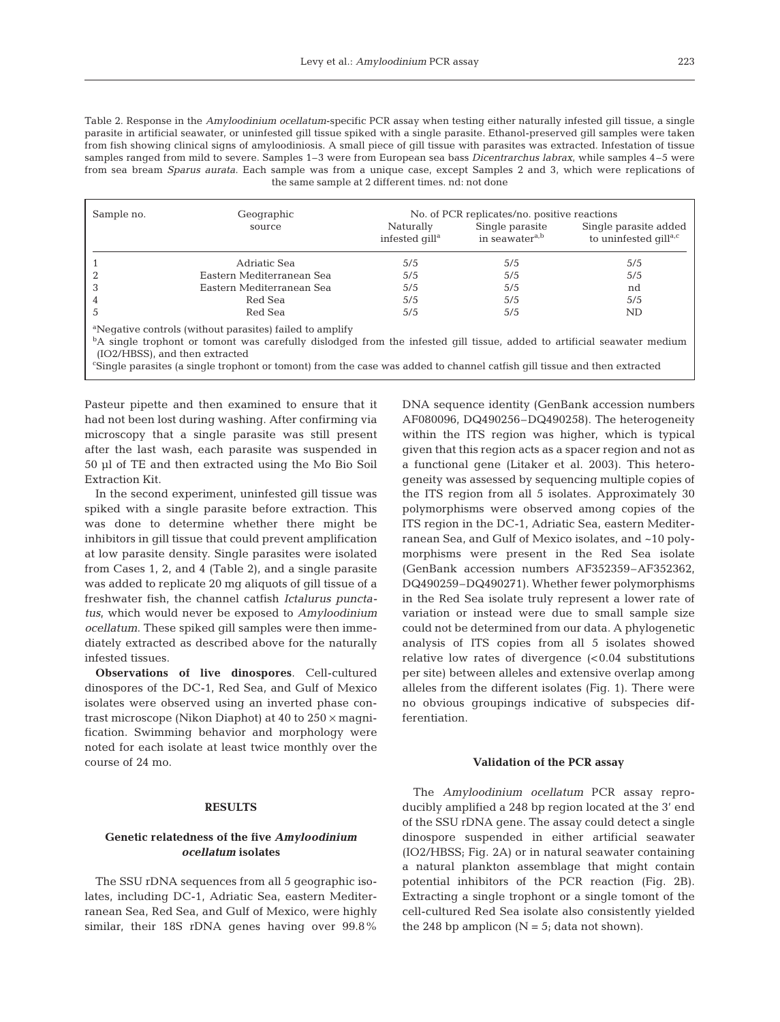Table 2. Response in the *Amyloodinium ocellatum*-specific PCR assay when testing either naturally infested gill tissue, a single parasite in artificial seawater, or uninfested gill tissue spiked with a single parasite. Ethanol-preserved gill samples were taken from fish showing clinical signs of amyloodiniosis. A small piece of gill tissue with parasites was extracted. Infestation of tissue samples ranged from mild to severe. Samples 1–3 were from European sea bass *Dicentrarchus labrax*, while samples 4–5 were from sea bream *Sparus aurata*. Each sample was from a unique case, except Samples 2 and 3, which were replications of the same sample at 2 different times. nd: not done

| Sample no.                                                                                                                                                            | Geographic                | No. of PCR replicates/no. positive reactions |                                               |                                                |  |  |
|-----------------------------------------------------------------------------------------------------------------------------------------------------------------------|---------------------------|----------------------------------------------|-----------------------------------------------|------------------------------------------------|--|--|
|                                                                                                                                                                       | source                    | Naturally<br>infested qill <sup>a</sup>      | Single parasite<br>in seawater <sup>a,b</sup> | Single parasite added<br>to uninfested gilla,c |  |  |
|                                                                                                                                                                       | Adriatic Sea              | 5/5                                          | 5/5                                           | 5/5                                            |  |  |
|                                                                                                                                                                       | Eastern Mediterranean Sea | 5/5                                          | 5/5                                           | 5/5                                            |  |  |
|                                                                                                                                                                       | Eastern Mediterranean Sea | 5/5                                          | 5/5                                           | nd                                             |  |  |
|                                                                                                                                                                       | Red Sea                   | 5/5                                          | 5/5                                           | 5/5                                            |  |  |
| 5                                                                                                                                                                     | Red Sea                   | 5/5                                          | 5/5                                           | ND                                             |  |  |
| <sup>a</sup> Negative controls (without parasites) failed to amplify                                                                                                  |                           |                                              |                                               |                                                |  |  |
| <sup>b</sup> A single trophont or tomont was carefully dislodged from the infested gill tissue, added to artificial seawater medium<br>(IO2/HBSS), and then extracted |                           |                                              |                                               |                                                |  |  |

c Single parasites (a single trophont or tomont) from the case was added to channel catfish gill tissue and then extracted

Pasteur pipette and then examined to ensure that it had not been lost during washing. After confirming via microscopy that a single parasite was still present after the last wash, each parasite was suspended in 50 µl of TE and then extracted using the Mo Bio Soil Extraction Kit.

In the second experiment, uninfested gill tissue was spiked with a single parasite before extraction. This was done to determine whether there might be inhibitors in gill tissue that could prevent amplification at low parasite density. Single parasites were isolated from Cases 1, 2, and 4 (Table 2), and a single parasite was added to replicate 20 mg aliquots of gill tissue of a freshwater fish, the channel catfish *Ictalurus punctatus*, which would never be exposed to *Amyloodinium ocellatum*. These spiked gill samples were then immediately extracted as described above for the naturally infested tissues.

**Observations of live dinospores**. Cell-cultured dinospores of the DC-1, Red Sea, and Gulf of Mexico isolates were observed using an inverted phase contrast microscope (Nikon Diaphot) at 40 to  $250 \times$  magnification. Swimming behavior and morphology were noted for each isolate at least twice monthly over the course of 24 mo.

#### **RESULTS**

# **Genetic relatedness of the five** *Amyloodinium ocellatum* **isolates**

The SSU rDNA sequences from all 5 geographic isolates, including DC-1, Adriatic Sea, eastern Mediterranean Sea, Red Sea, and Gulf of Mexico, were highly similar, their 18S rDNA genes having over 99.8%

DNA sequence identity (GenBank accession numbers AF080096, DQ490256–DQ490258). The heterogeneity within the ITS region was higher, which is typical given that this region acts as a spacer region and not as a functional gene (Litaker et al. 2003). This heterogeneity was assessed by sequencing multiple copies of the ITS region from all 5 isolates. Approximately 30 polymorphisms were observed among copies of the ITS region in the DC-1, Adriatic Sea, eastern Mediterranean Sea, and Gulf of Mexico isolates, and ~10 polymorphisms were present in the Red Sea isolate (GenBank accession numbers AF352359–AF352362, DQ490259–DQ490271). Whether fewer polymorphisms in the Red Sea isolate truly represent a lower rate of variation or instead were due to small sample size could not be determined from our data. A phylogenetic analysis of ITS copies from all 5 isolates showed relative low rates of divergence  $( $0.04$  substitutions$ per site) between alleles and extensive overlap among alleles from the different isolates (Fig. 1). There were no obvious groupings indicative of subspecies differentiation.

#### **Validation of the PCR assay**

The *Amyloodinium ocellatum* PCR assay reproducibly amplified a 248 bp region located at the 3' end of the SSU rDNA gene. The assay could detect a single dinospore suspended in either artificial seawater (IO2/HBSS; Fig. 2A) or in natural seawater containing a natural plankton assemblage that might contain potential inhibitors of the PCR reaction (Fig. 2B). Extracting a single trophont or a single tomont of the cell-cultured Red Sea isolate also consistently yielded the 248 bp amplicon  $(N = 5$ ; data not shown).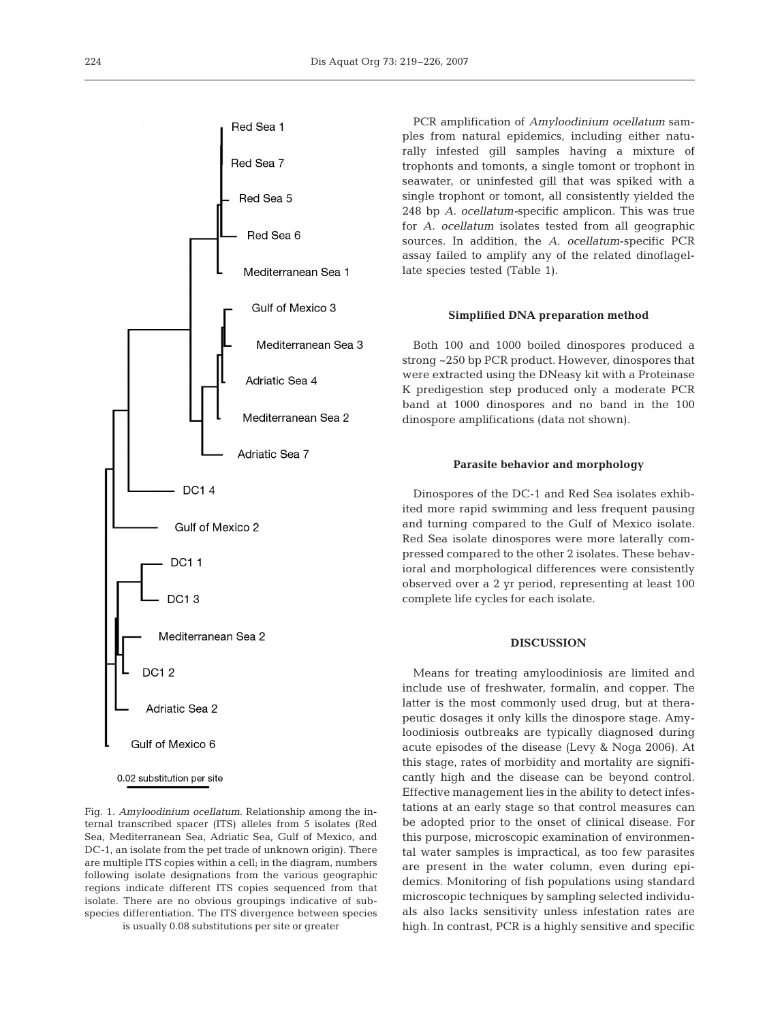

0.02 substitution per site

Fig. 1. *Amyloodinium ocellatum*. Relationship among the internal transcribed spacer (ITS) alleles from 5 isolates (Red Sea, Mediterranean Sea, Adriatic Sea, Gulf of Mexico, and DC-1, an isolate from the pet trade of unknown origin). There are multiple ITS copies within a cell; in the diagram, numbers following isolate designations from the various geographic regions indicate different ITS copies sequenced from that isolate. There are no obvious groupings indicative of subspecies differentiation. The ITS divergence between species

is usually 0.08 substitutions per site or greater

PCR amplification of *Amyloodinium ocellatum* samples from natural epidemics, including either naturally infested gill samples having a mixture of trophonts and tomonts, a single tomont or trophont in seawater, or uninfested gill that was spiked with a single trophont or tomont, all consistently yielded the 248 bp *A. ocellatum-*specific amplicon. This was true for *A. ocellatum* isolates tested from all geographic sources. In addition, the *A. ocellatum*-specific PCR assay failed to amplify any of the related dinoflagellate species tested (Table 1).

## **Simplified DNA preparation method**

Both 100 and 1000 boiled dinospores produced a strong ~250 bp PCR product. However, dinospores that were extracted using the DNeasy kit with a Proteinase K predigestion step produced only a moderate PCR band at 1000 dinospores and no band in the 100 dinospore amplifications (data not shown).

## **Parasite behavior and morphology**

Dinospores of the DC-1 and Red Sea isolates exhibited more rapid swimming and less frequent pausing and turning compared to the Gulf of Mexico isolate. Red Sea isolate dinospores were more laterally compressed compared to the other 2 isolates. These behavioral and morphological differences were consistently observed over a 2 yr period, representing at least 100 complete life cycles for each isolate.

## **DISCUSSION**

Means for treating amyloodiniosis are limited and include use of freshwater, formalin, and copper. The latter is the most commonly used drug, but at therapeutic dosages it only kills the dinospore stage. Amyloodiniosis outbreaks are typically diagnosed during acute episodes of the disease (Levy & Noga 2006). At this stage, rates of morbidity and mortality are significantly high and the disease can be beyond control. Effective management lies in the ability to detect infestations at an early stage so that control measures can be adopted prior to the onset of clinical disease. For this purpose, microscopic examination of environmental water samples is impractical, as too few parasites are present in the water column, even during epidemics. Monitoring of fish populations using standard microscopic techniques by sampling selected individuals also lacks sensitivity unless infestation rates are high. In contrast, PCR is a highly sensitive and specific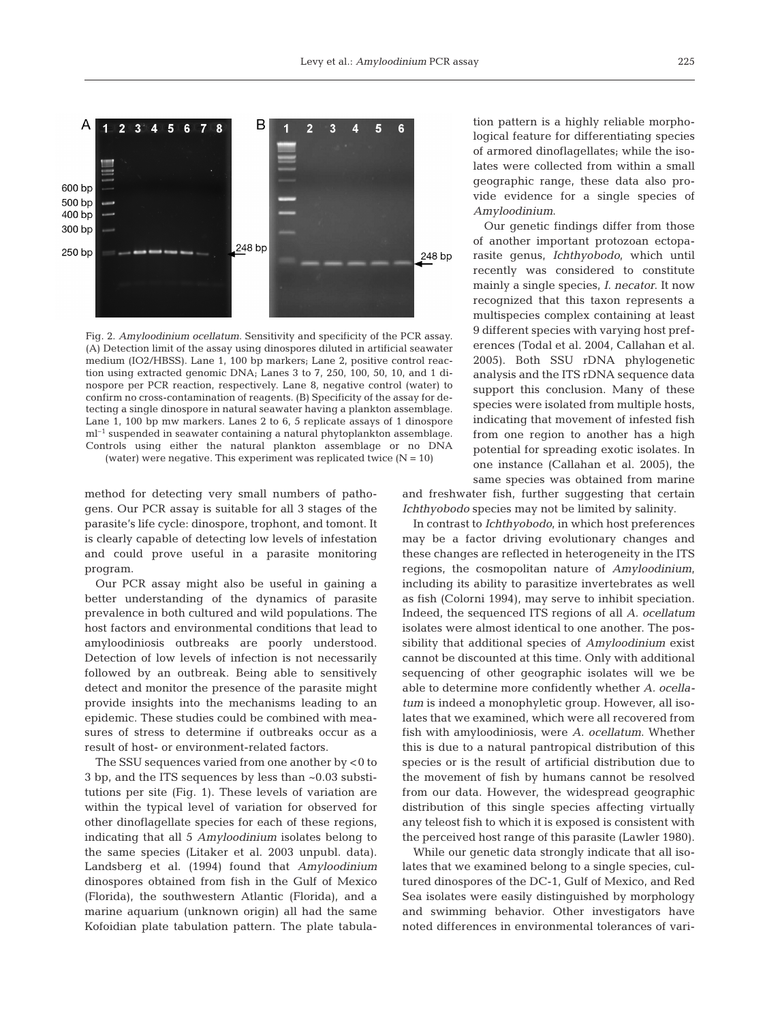

Fig. 2. *Amyloodinium ocellatum*. Sensitivity and specificity of the PCR assay. (A) Detection limit of the assay using dinospores diluted in artificial seawater medium (IO2/HBSS). Lane 1, 100 bp markers; Lane 2, positive control reaction using extracted genomic DNA; Lanes 3 to 7, 250, 100, 50, 10, and 1 dinospore per PCR reaction, respectively. Lane 8, negative control (water) to confirm no cross-contamination of reagents. (B) Specificity of the assay for detecting a single dinospore in natural seawater having a plankton assemblage. Lane 1, 100 bp mw markers. Lanes 2 to 6, 5 replicate assays of 1 dinospore  $ml<sup>-1</sup>$  suspended in seawater containing a natural phytoplankton assemblage. Controls using either the natural plankton assemblage or no DNA (water) were negative. This experiment was replicated twice  $(N = 10)$ 

method for detecting very small numbers of pathogens. Our PCR assay is suitable for all 3 stages of the parasite's life cycle: dinospore, trophont, and tomont. It is clearly capable of detecting low levels of infestation and could prove useful in a parasite monitoring program.

Our PCR assay might also be useful in gaining a better understanding of the dynamics of parasite prevalence in both cultured and wild populations. The host factors and environmental conditions that lead to amyloodiniosis outbreaks are poorly understood. Detection of low levels of infection is not necessarily followed by an outbreak. Being able to sensitively detect and monitor the presence of the parasite might provide insights into the mechanisms leading to an epidemic. These studies could be combined with measures of stress to determine if outbreaks occur as a result of host- or environment-related factors.

The SSU sequences varied from one another by <0 to 3 bp, and the ITS sequences by less than ~0.03 substitutions per site (Fig. 1). These levels of variation are within the typical level of variation for observed for other dinoflagellate species for each of these regions, indicating that all 5 *Amyloodinium* isolates belong to the same species (Litaker et al. 2003 unpubl. data). Landsberg et al. (1994) found that *Amyloodinium* dinospores obtained from fish in the Gulf of Mexico (Florida), the southwestern Atlantic (Florida), and a marine aquarium (unknown origin) all had the same Kofoidian plate tabulation pattern. The plate tabulation pattern is a highly reliable morphological feature for differentiating species of armored dinoflagellates; while the isolates were collected from within a small geographic range, these data also provide evidence for a single species of *Amyloodinium*.

Our genetic findings differ from those of another important protozoan ectoparasite genus, *Ichthyobodo*, which until recently was considered to constitute mainly a single species, *I. necator*. It now recognized that this taxon represents a multispecies complex containing at least 9 different species with varying host preferences (Todal et al. 2004, Callahan et al. 2005). Both SSU rDNA phylogenetic analysis and the ITS rDNA sequence data support this conclusion. Many of these species were isolated from multiple hosts, indicating that movement of infested fish from one region to another has a high potential for spreading exotic isolates. In one instance (Callahan et al. 2005), the same species was obtained from marine

and freshwater fish, further suggesting that certain *Ichthyobodo* species may not be limited by salinity.

In contrast to *Ichthyobodo*, in which host preferences may be a factor driving evolutionary changes and these changes are reflected in heterogeneity in the ITS regions, the cosmopolitan nature of *Amyloodinium*, including its ability to parasitize invertebrates as well as fish (Colorni 1994), may serve to inhibit speciation. Indeed, the sequenced ITS regions of all *A. ocellatum* isolates were almost identical to one another. The possibility that additional species of *Amyloodinium* exist cannot be discounted at this time. Only with additional sequencing of other geographic isolates will we be able to determine more confidently whether *A. ocellatum* is indeed a monophyletic group. However, all isolates that we examined, which were all recovered from fish with amyloodiniosis, were *A. ocellatum*. Whether this is due to a natural pantropical distribution of this species or is the result of artificial distribution due to the movement of fish by humans cannot be resolved from our data. However, the widespread geographic distribution of this single species affecting virtually any teleost fish to which it is exposed is consistent with the perceived host range of this parasite (Lawler 1980).

While our genetic data strongly indicate that all isolates that we examined belong to a single species, cultured dinospores of the DC-1, Gulf of Mexico, and Red Sea isolates were easily distinguished by morphology and swimming behavior. Other investigators have noted differences in environmental tolerances of vari